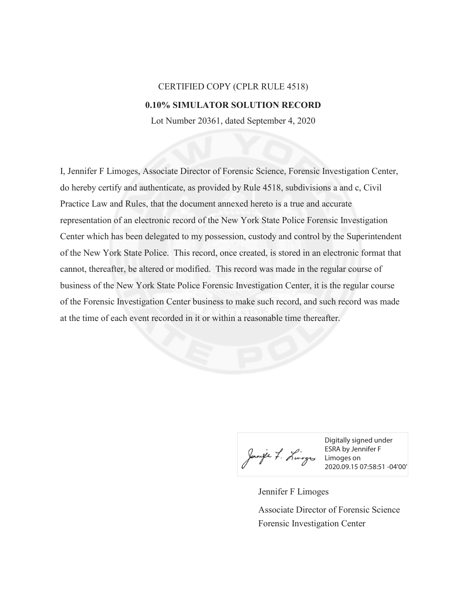## CERTIFIED COPY (CPLR RULE 4518) **0.10% SIMULATOR SOLUTION RECORD**

Lot Number 20361, dated September 4, 2020

I, Jennifer F Limoges, Associate Director of Forensic Science, Forensic Investigation Center, do hereby certify and authenticate, as provided by Rule 4518, subdivisions a and c, Civil Practice Law and Rules, that the document annexed hereto is a true and accurate representation of an electronic record of the New York State Police Forensic Investigation Center which has been delegated to my possession, custody and control by the Superintendent of the New York State Police. This record, once created, is stored in an electronic format that cannot, thereafter, be altered or modified. This record was made in the regular course of business of the New York State Police Forensic Investigation Center, it is the regular course of the Forensic Investigation Center business to make such record, and such record was made at the time of each event recorded in it or within a reasonable time thereafter.

Digitally signed under ESRA by Jennifer F Limoges on 2020.09.15 07:58:51 -04'00'

Jennifer F Limoges Forensic Investigation Center Associate Director of Forensic Science